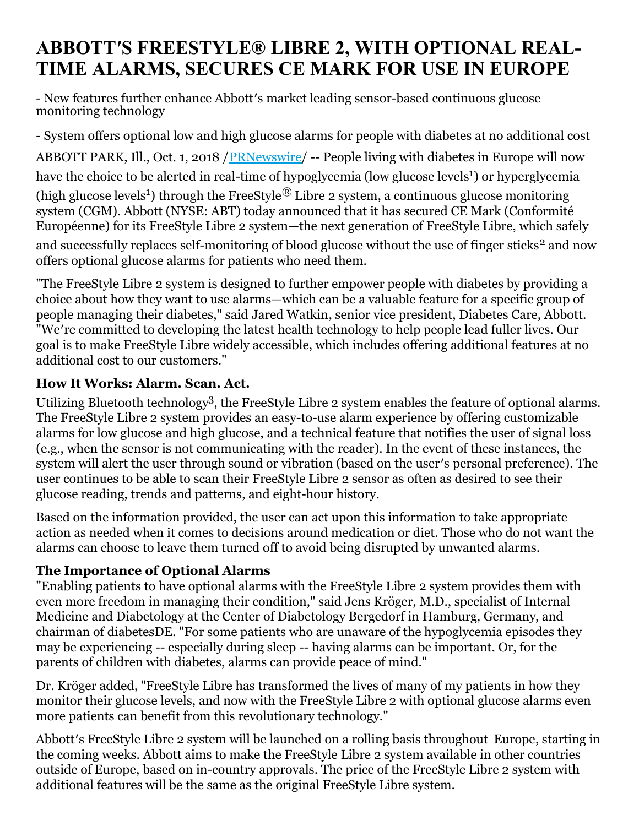# **ABBOTT′S FREESTYLE® LIBRE 2, WITH OPTIONAL REAL-TIME ALARMS, SECURES CE MARK FOR USE IN EUROPE**

- New features further enhance Abbott′s market leading sensor-based continuous glucose monitoring technology

- System offers optional low and high glucose alarms for people with diabetes at no additional cost

ABBOTT PARK, Ill., Oct. 1, 2018 / PRNewswire / -- People living with diabetes in Europe will now have the choice to be alerted in real-time of hypoglycemia (low glucose levels<sup>1</sup>) or hyperglycemia (high glucose levels<sup>1</sup>) through the FreeStyle<sup>®</sup> Libre 2 system, a continuous glucose monitoring system (CGM). Abbott (NYSE: ABT) today announced that it has secured CE Mark (Conformité Européenne) for its FreeStyle Libre 2 system—the next generation of FreeStyle Libre, which safely and successfully replaces self-monitoring of blood glucose without the use of finger sticks<sup>2</sup> and now offers optional glucose alarms for patients who need them.

"The FreeStyle Libre 2 system is designed to further empower people with diabetes by providing a choice about how they want to use alarms—which can be a valuable feature for a specific group of people managing their diabetes," said Jared Watkin, senior vice president, Diabetes Care, Abbott. "We′re committed to developing the latest health technology to help people lead fuller lives. Our goal is to make FreeStyle Libre widely accessible, which includes offering additional features at no additional cost to our customers."

# **How It Works: Alarm. Scan. Act.**

Utilizing Bluetooth technology<sup>3</sup>, the FreeStyle Libre 2 system enables the feature of optional alarms. The FreeStyle Libre 2 system provides an easy-to-use alarm experience by offering customizable alarms for low glucose and high glucose, and a technical feature that notifies the user of signal loss (e.g., when the sensor is not communicating with the reader). In the event of these instances, the system will alert the user through sound or vibration (based on the user′s personal preference). The user continues to be able to scan their FreeStyle Libre 2 sensor as often as desired to see their glucose reading, trends and patterns, and eight-hour history.

Based on the information provided, the user can act upon this information to take appropriate action as needed when it comes to decisions around medication or diet. Those who do not want the alarms can choose to leave them turned off to avoid being disrupted by unwanted alarms.

## **The Importance of Optional Alarms**

"Enabling patients to have optional alarms with the FreeStyle Libre 2 system provides them with even more freedom in managing their condition," said Jens Kröger, M.D., specialist of Internal Medicine and Diabetology at the Center of Diabetology Bergedorf in Hamburg, Germany, and chairman of diabetesDE. "For some patients who are unaware of the hypoglycemia episodes they may be experiencing -- especially during sleep -- having alarms can be important. Or, for the parents of children with diabetes, alarms can provide peace of mind."

Dr. Kröger added, "FreeStyle Libre has transformed the lives of many of my patients in how they monitor their glucose levels, and now with the FreeStyle Libre 2 with optional glucose alarms even more patients can benefit from this revolutionary technology."

Abbott′s FreeStyle Libre 2 system will be launched on a rolling basis throughout Europe, starting in the coming weeks. Abbott aims to make the FreeStyle Libre 2 system available in other countries outside of Europe, based on in-country approvals. The price of the FreeStyle Libre 2 system with additional features will be the same as the original FreeStyle Libre system.